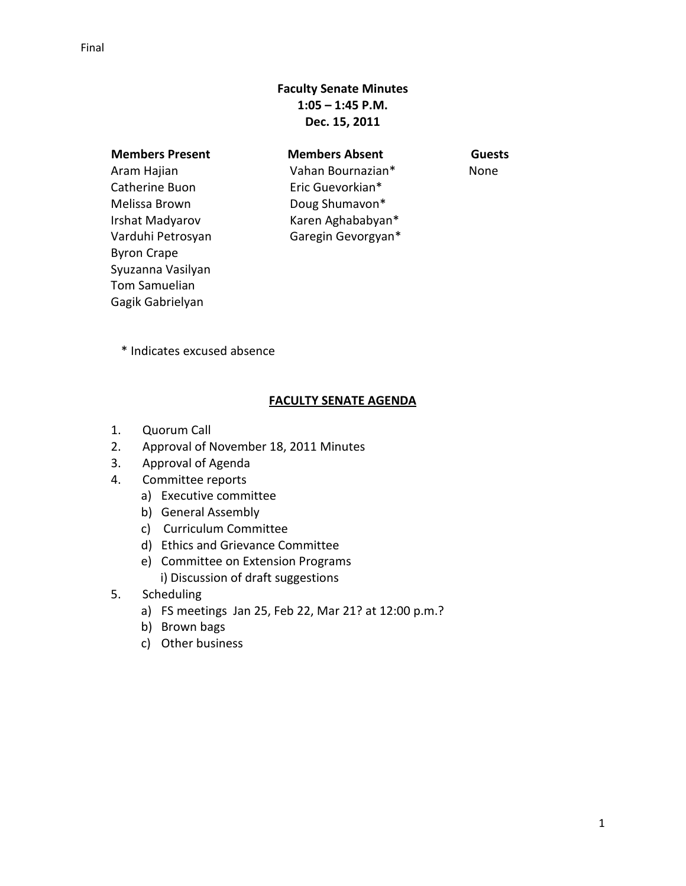# **Faculty Senate Minutes 1:05 – 1:45 P.M. Dec. 15, 2011**

 **Members Present Members Absent Guests** Aram Hajian Catherine Buon Melissa Brown Irshat Madyarov Varduhi Petrosyan Byron Crape Syuzanna Vasilyan Tom Samuelian Gagik Gabrielyan

Vahan Bournazian\* Eric Guevorkian\* Doug Shumavon\* Karen Aghababyan\* Garegin Gevorgyan\* None

\* Indicates excused absence

# **FACULTY SENATE AGENDA**

- 1. Quorum Call
- 2. Approval of November 18, 2011 Minutes
- 3. Approval of Agenda
- 4. Committee reports
	- a) Executive committee
	- b) General Assembly
	- c) Curriculum Committee
	- d) Ethics and Grievance Committee
	- e) Committee on Extension Programs i) Discussion of draft suggestions
- 5. Scheduling
	- a) FS meetings Jan 25, Feb 22, Mar 21? at 12:00 p.m.?
	- b) Brown bags
	- c) Other business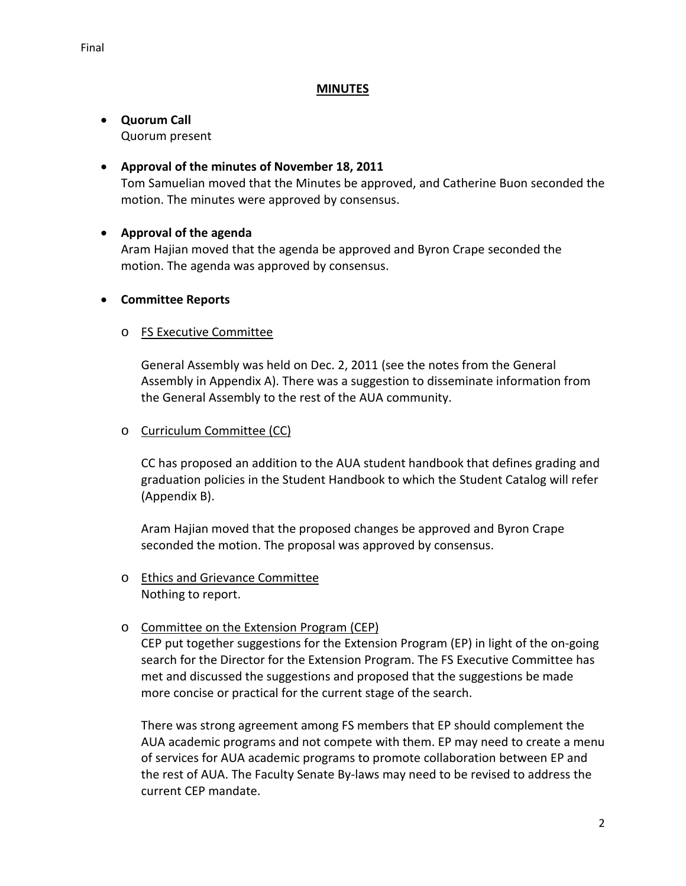#### **MINUTES**

#### • **Quorum Call** Quorum present

### • **Approval of the minutes of November 18, 2011**

Tom Samuelian moved that the Minutes be approved, and Catherine Buon seconded the motion. The minutes were approved by consensus.

# • **Approval of the agenda**

Aram Hajian moved that the agenda be approved and Byron Crape seconded the motion. The agenda was approved by consensus.

### • **Committee Reports**

# o FS Executive Committee

General Assembly was held on Dec. 2, 2011 (see the notes from the General Assembly in Appendix A). There was a suggestion to disseminate information from the General Assembly to the rest of the AUA community.

### o Curriculum Committee (CC)

CC has proposed an addition to the AUA student handbook that defines grading and graduation policies in the Student Handbook to which the Student Catalog will refer (Appendix B).

Aram Hajian moved that the proposed changes be approved and Byron Crape seconded the motion. The proposal was approved by consensus.

# o **Ethics and Grievance Committee** Nothing to report.

# o Committee on the Extension Program (CEP)

CEP put together suggestions for the Extension Program (EP) in light of the on-going search for the Director for the Extension Program. The FS Executive Committee has met and discussed the suggestions and proposed that the suggestions be made more concise or practical for the current stage of the search.

There was strong agreement among FS members that EP should complement the AUA academic programs and not compete with them. EP may need to create a menu of services for AUA academic programs to promote collaboration between EP and the rest of AUA. The Faculty Senate By-laws may need to be revised to address the current CEP mandate.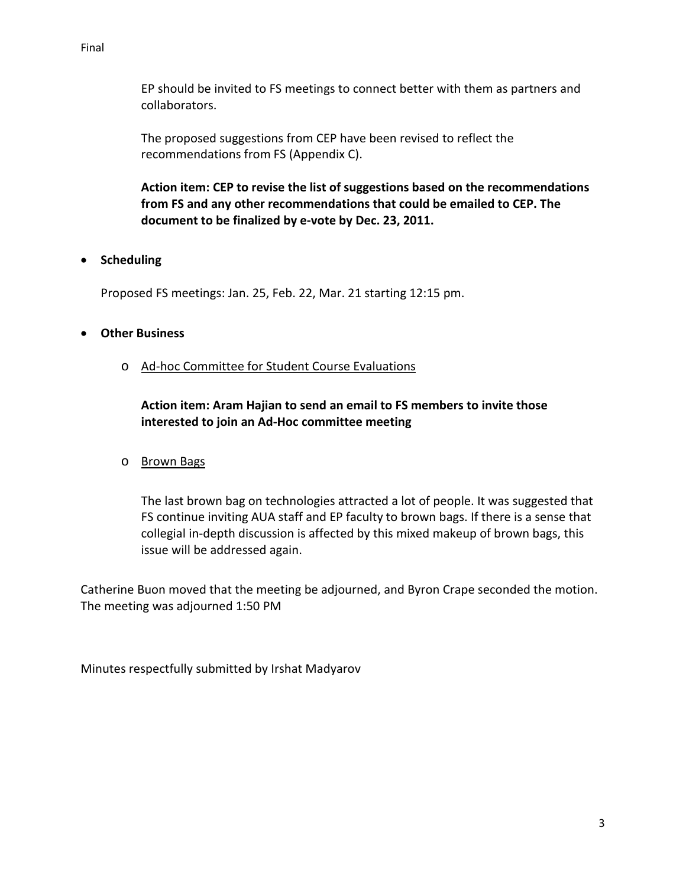#### Final

EP should be invited to FS meetings to connect better with them as partners and collaborators.

The proposed suggestions from CEP have been revised to reflect the recommendations from FS (Appendix C).

**Action item: CEP to revise the list of suggestions based on the recommendations from FS and any other recommendations that could be emailed to CEP. The document to be finalized by e-vote by Dec. 23, 2011.** 

• **Scheduling**

Proposed FS meetings: Jan. 25, Feb. 22, Mar. 21 starting 12:15 pm.

# • **Other Business**

o Ad-hoc Committee for Student Course Evaluations

**Action item: Aram Hajian to send an email to FS members to invite those interested to join an Ad-Hoc committee meeting**

o Brown Bags

The last brown bag on technologies attracted a lot of people. It was suggested that FS continue inviting AUA staff and EP faculty to brown bags. If there is a sense that collegial in-depth discussion is affected by this mixed makeup of brown bags, this issue will be addressed again.

Catherine Buon moved that the meeting be adjourned, and Byron Crape seconded the motion. The meeting was adjourned 1:50 PM

Minutes respectfully submitted by Irshat Madyarov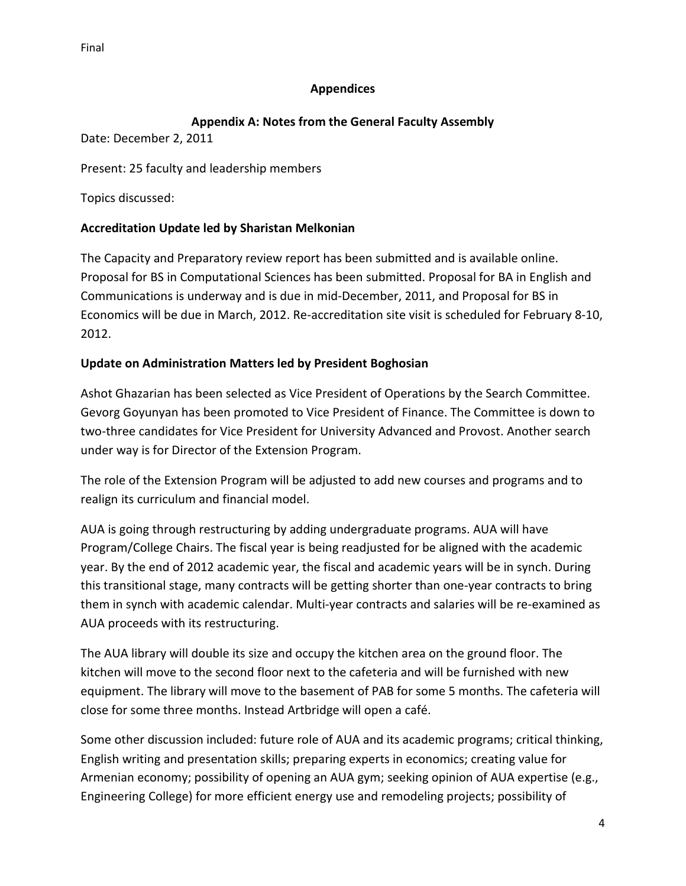# **Appendices**

# **Appendix A: Notes from the General Faculty Assembly**

Date: December 2, 2011

Present: 25 faculty and leadership members

Topics discussed:

# **Accreditation Update led by Sharistan Melkonian**

The Capacity and Preparatory review report has been submitted and is available online. Proposal for BS in Computational Sciences has been submitted. Proposal for BA in English and Communications is underway and is due in mid-December, 2011, and Proposal for BS in Economics will be due in March, 2012. Re-accreditation site visit is scheduled for February 8-10, 2012.

# **Update on Administration Matters led by President Boghosian**

Ashot Ghazarian has been selected as Vice President of Operations by the Search Committee. Gevorg Goyunyan has been promoted to Vice President of Finance. The Committee is down to two-three candidates for Vice President for University Advanced and Provost. Another search under way is for Director of the Extension Program.

The role of the Extension Program will be adjusted to add new courses and programs and to realign its curriculum and financial model.

AUA is going through restructuring by adding undergraduate programs. AUA will have Program/College Chairs. The fiscal year is being readjusted for be aligned with the academic year. By the end of 2012 academic year, the fiscal and academic years will be in synch. During this transitional stage, many contracts will be getting shorter than one-year contracts to bring them in synch with academic calendar. Multi-year contracts and salaries will be re-examined as AUA proceeds with its restructuring.

The AUA library will double its size and occupy the kitchen area on the ground floor. The kitchen will move to the second floor next to the cafeteria and will be furnished with new equipment. The library will move to the basement of PAB for some 5 months. The cafeteria will close for some three months. Instead Artbridge will open a café.

Some other discussion included: future role of AUA and its academic programs; critical thinking, English writing and presentation skills; preparing experts in economics; creating value for Armenian economy; possibility of opening an AUA gym; seeking opinion of AUA expertise (e.g., Engineering College) for more efficient energy use and remodeling projects; possibility of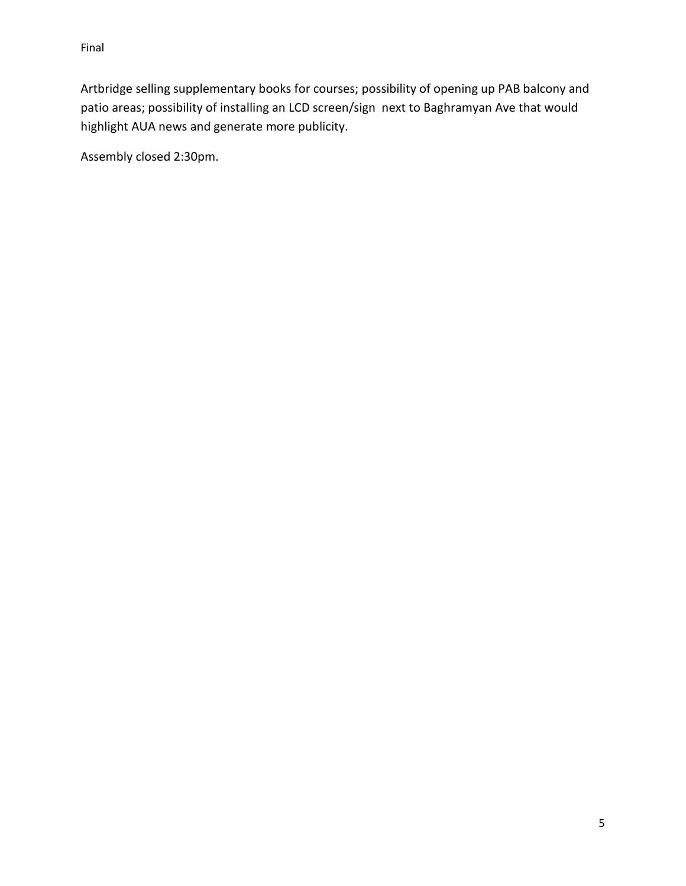Artbridge selling supplementary books for courses; possibility of opening up PAB balcony and patio areas; possibility of installing an LCD screen/sign next to Baghramyan Ave that would highlight AUA news and generate more publicity.

Assembly closed 2:30pm.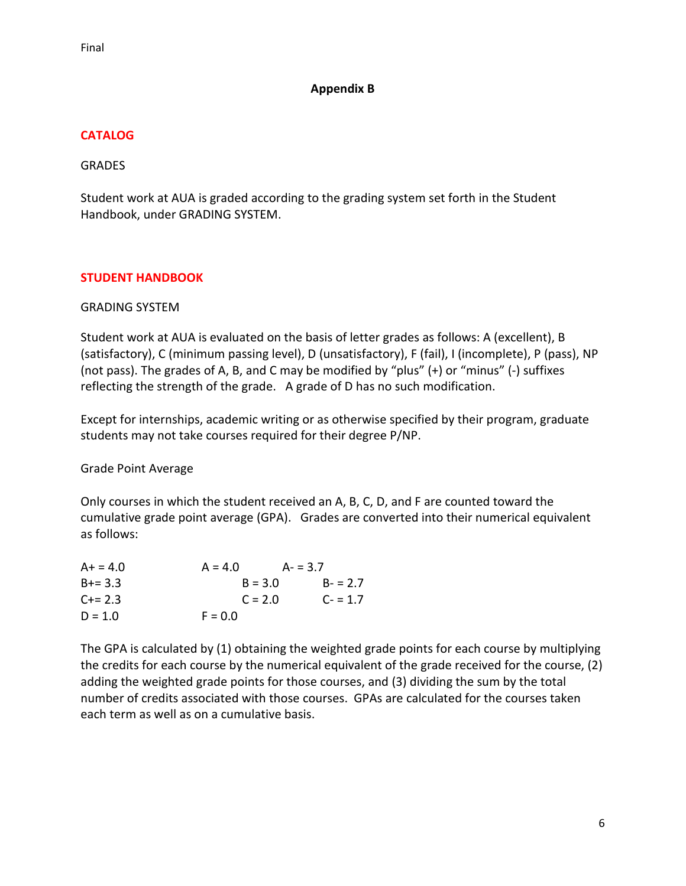### **Appendix B**

# **CATALOG**

### **GRADES**

Student work at AUA is graded according to the grading system set forth in the Student Handbook, under GRADING SYSTEM.

# **STUDENT HANDBOOK**

### GRADING SYSTEM

Student work at AUA is evaluated on the basis of letter grades as follows: A (excellent), B (satisfactory), C (minimum passing level), D (unsatisfactory), F (fail), I (incomplete), P (pass), NP (not pass). The grades of A, B, and C may be modified by "plus" (+) or "minus" (-) suffixes reflecting the strength of the grade. A grade of D has no such modification.

Except for internships, academic writing or as otherwise specified by their program, graduate students may not take courses required for their degree P/NP.

Grade Point Average

Only courses in which the student received an A, B, C, D, and F are counted toward the cumulative grade point average (GPA). Grades are converted into their numerical equivalent as follows:

| $A+ = 4.0$  | $A = 4.0$ | $A = 3.7$ |
|-------------|-----------|-----------|
| $B+=3.3$    | $B = 3.0$ | $B = 2.7$ |
| $C + = 2.3$ | $C = 2.0$ | $C = 1.7$ |
| $D = 1.0$   | $F = 0.0$ |           |

The GPA is calculated by (1) obtaining the weighted grade points for each course by multiplying the credits for each course by the numerical equivalent of the grade received for the course, (2) adding the weighted grade points for those courses, and (3) dividing the sum by the total number of credits associated with those courses. GPAs are calculated for the courses taken each term as well as on a cumulative basis.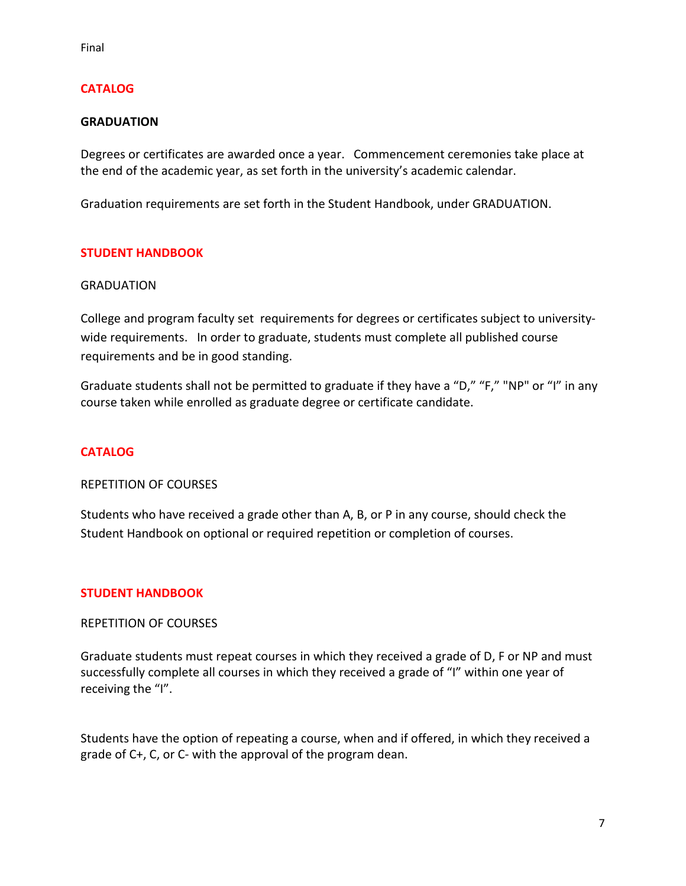# **CATALOG**

#### **GRADUATION**

Degrees or certificates are awarded once a year. Commencement ceremonies take place at the end of the academic year, as set forth in the university's academic calendar.

Graduation requirements are set forth in the Student Handbook, under GRADUATION.

### **STUDENT HANDBOOK**

#### **GRADUATION**

College and program faculty set requirements for degrees or certificates subject to universitywide requirements. In order to graduate, students must complete all published course requirements and be in good standing.

Graduate students shall not be permitted to graduate if they have a "D," "F," "NP" or "I" in any course taken while enrolled as graduate degree or certificate candidate.

#### **CATALOG**

REPETITION OF COURSES

Students who have received a grade other than A, B, or P in any course, should check the Student Handbook on optional or required repetition or completion of courses.

#### **STUDENT HANDBOOK**

#### REPETITION OF COURSES

Graduate students must repeat courses in which they received a grade of D, F or NP and must successfully complete all courses in which they received a grade of "I" within one year of receiving the "I".

Students have the option of repeating a course, when and if offered, in which they received a grade of C+, C, or C- with the approval of the program dean.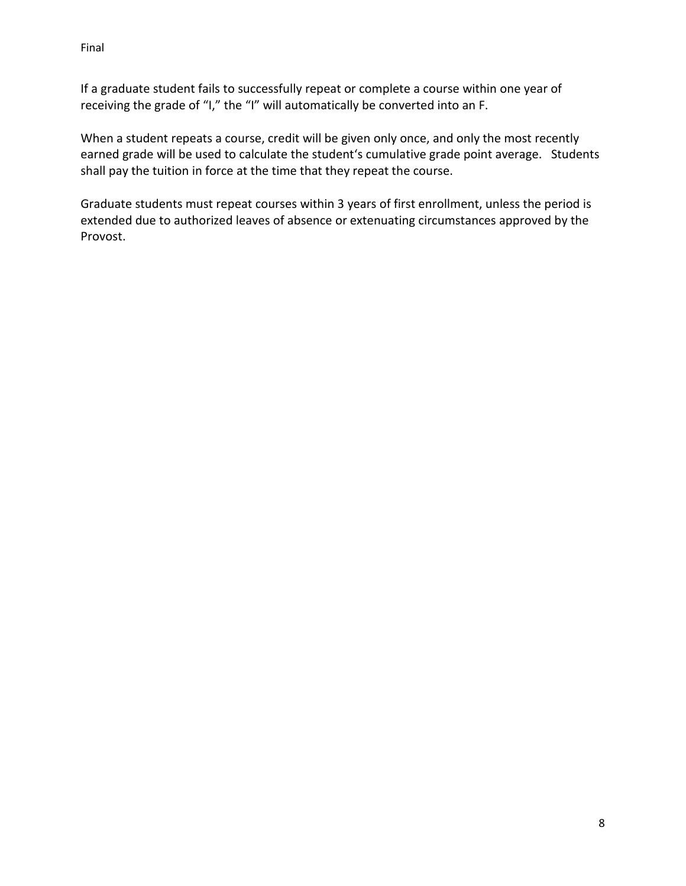If a graduate student fails to successfully repeat or complete a course within one year of receiving the grade of "I," the "I" will automatically be converted into an F.

When a student repeats a course, credit will be given only once, and only the most recently earned grade will be used to calculate the student's cumulative grade point average. Students shall pay the tuition in force at the time that they repeat the course.

Graduate students must repeat courses within 3 years of first enrollment, unless the period is extended due to authorized leaves of absence or extenuating circumstances approved by the Provost.